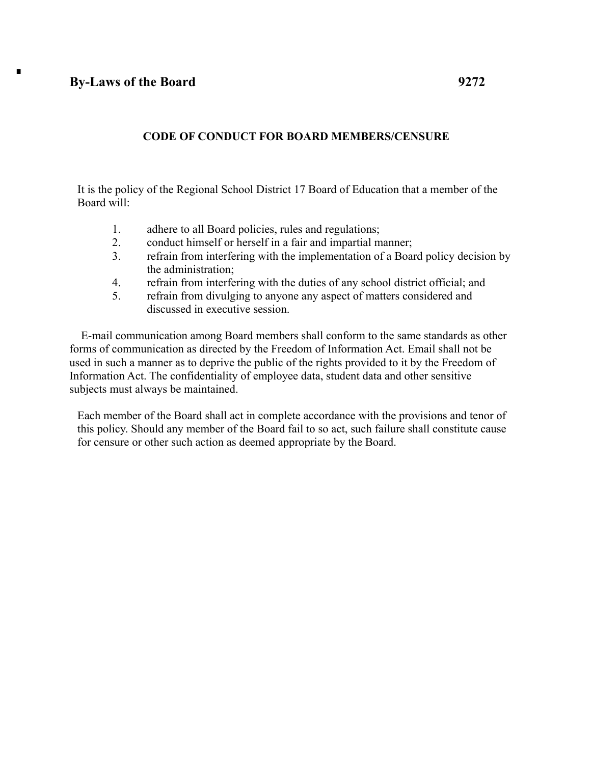## **By-Laws of the Board 9272**

 $\blacksquare$ 

## **CODE OF CONDUCT FOR BOARD MEMBERS/CENSURE**

It is the policy of the Regional School District 17 Board of Education that a member of the Board will:

- 1. adhere to all Board policies, rules and regulations;
- 2. conduct himself or herself in a fair and impartial manner;
- 3. refrain from interfering with the implementation of a Board policy decision by the administration;
- 4. refrain from interfering with the duties of any school district official; and
- 5. refrain from divulging to anyone any aspect of matters considered and discussed in executive session.

E-mail communication among Board members shall conform to the same standards as other forms of communication as directed by the Freedom of Information Act. Email shall not be used in such a manner as to deprive the public of the rights provided to it by the Freedom of Information Act. The confidentiality of employee data, student data and other sensitive subjects must always be maintained.

Each member of the Board shall act in complete accordance with the provisions and tenor of this policy. Should any member of the Board fail to so act, such failure shall constitute cause for censure or other such action as deemed appropriate by the Board.